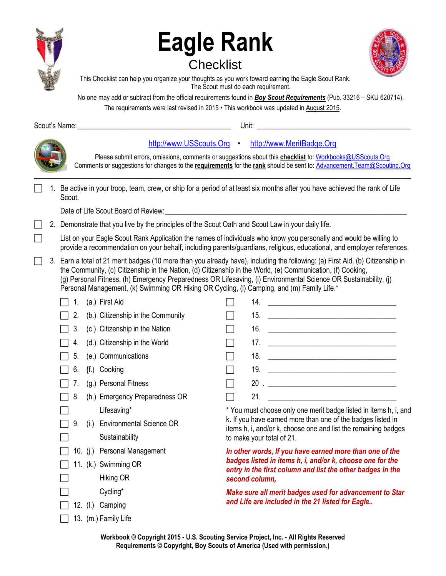

# **Eagle Rank Checklist**



This Checklist can help you organize your thoughts as you work toward earning the Eagle Scout Rank. The Scout must do each requirement.

No one may add or subtract from the official requirements found in *Boy Scout Requirements* (Pub. 33216 – SKU 620714).

Please submit errors, omissions, comments or suggestions about this **checklist** to: [Workbooks@USScouts.Org](mailto:Workbooks@usscouts.org?subject=Merit%20Badge%20Workbooks) Comments or suggestions for changes to the **requirements** for the **rank** should be sent to: [Advancement.Team@Scouting.Org](mailto:Advancement.Team@Scouting.Org)

The requirements were last revised in 2015 • This workbook was updated in August 2015.

Scout's Name:\_\_\_\_\_\_\_\_\_\_\_\_\_\_\_\_\_\_\_\_\_\_\_\_\_\_\_\_\_\_\_\_\_\_\_\_\_\_\_\_\_\_ Unit: \_\_\_\_\_\_\_\_\_\_\_\_\_\_\_\_\_\_\_\_\_\_\_\_\_\_\_\_\_\_\_\_\_\_\_\_\_\_\_\_\_\_

[http://www.USScouts.Org](http://www.usscouts.org/) • [http://www.MeritBadge.Org](http://www.meritbadge.org/)

|  | 1. Be active in your troop, team, crew, or ship for a period of at least six months after you have achieved the rank of Life<br>Scout. |
|--|----------------------------------------------------------------------------------------------------------------------------------------|
|  | Date of Life Scout Board of Review:                                                                                                    |

2. Demonstrate that you live by the principles of the Scout Oath and Scout Law in your daily life.

 List on your Eagle Scout Rank Application the names of individuals who know you personally and would be willing to provide a recommendation on your behalf, including parents/guardians, religious, educational, and employer references.

 3. Earn a total of 21 merit badges (10 more than you already have), including the following: (a) First Aid, (b) Citizenship in the Community, (c) Citizenship in the Nation, (d) Citizenship in the World, (e) Communication, (f) Cooking, (g) Personal Fitness, (h) Emergency Preparedness OR Lifesaving, (i) Environmental Science OR Sustainability, (j) Personal Management, (k) Swimming OR Hiking OR Cycling, (I) Camping, and (m) Family Life.\*

|                |                                                                                                                                                                                                                                                                                                                   | 14. |                                                                                                                               |  |
|----------------|-------------------------------------------------------------------------------------------------------------------------------------------------------------------------------------------------------------------------------------------------------------------------------------------------------------------|-----|-------------------------------------------------------------------------------------------------------------------------------|--|
|                |                                                                                                                                                                                                                                                                                                                   | 15. | <u> 1989 - Johann Barbara, martin amerikan basal dan berasal dalam basal dalam basal dalam basal dalam basal dala</u>         |  |
|                |                                                                                                                                                                                                                                                                                                                   | 16. | <u> Alexandria de la contrada de la contrada de la contrada de la contrada de la contrada de la contrada de la c</u>          |  |
|                |                                                                                                                                                                                                                                                                                                                   | 17. |                                                                                                                               |  |
|                |                                                                                                                                                                                                                                                                                                                   |     |                                                                                                                               |  |
|                |                                                                                                                                                                                                                                                                                                                   | 19. |                                                                                                                               |  |
|                |                                                                                                                                                                                                                                                                                                                   |     |                                                                                                                               |  |
|                |                                                                                                                                                                                                                                                                                                                   | 21. | <u> 1990 - Johann Barbara, martin a</u>                                                                                       |  |
| Lifesaving*    |                                                                                                                                                                                                                                                                                                                   |     | * You must choose only one merit badge listed in items h, i, and                                                              |  |
|                |                                                                                                                                                                                                                                                                                                                   |     | k. If you have earned more than one of the badges listed in<br>items h, i, and/or k, choose one and list the remaining badges |  |
| Sustainability |                                                                                                                                                                                                                                                                                                                   |     |                                                                                                                               |  |
|                | In other words, If you have earned more than one of the                                                                                                                                                                                                                                                           |     |                                                                                                                               |  |
|                | badges listed in items h, i, and/or k, choose one for the<br>entry in the first column and list the other badges in the                                                                                                                                                                                           |     |                                                                                                                               |  |
| Hiking OR      | second column,                                                                                                                                                                                                                                                                                                    |     |                                                                                                                               |  |
| Cycling*       | Make sure all merit badges used for advancement to Star                                                                                                                                                                                                                                                           |     |                                                                                                                               |  |
|                | (a.) First Aid<br>(b.) Citizenship in the Community<br>(c.) Citizenship in the Nation<br>(d.) Citizenship in the World<br>(e.) Communications<br>{f.) Cooking<br>(g.) Personal Fitness<br>(h.) Emergency Preparedness OR<br>(i.) Environmental Science OR<br>10. (j.) Personal Management<br>11. (k.) Swimming OR |     | to make your total of 21.                                                                                                     |  |

- $\Box$  12. (I.) Camping
- $\Box$  13. (m.) Family Life

*and Life are included in the 21 listed for Eagle..*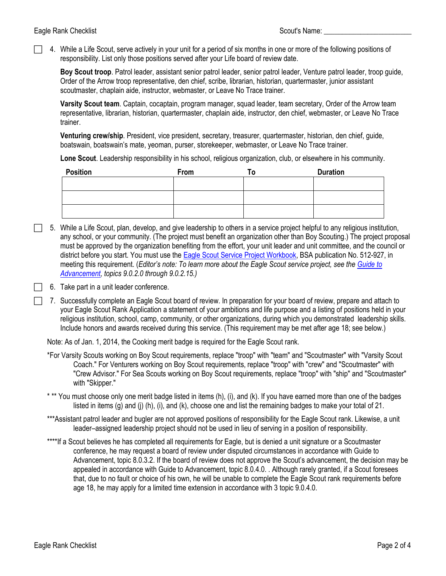4. While a Life Scout, serve actively in your unit for a period of six months in one or more of the following positions of responsibility. List only those positions served after your Life board of review date.

**Boy Scout troop**. Patrol leader, assistant senior patrol leader, senior patrol leader, Venture patrol leader, troop guide, Order of the Arrow troop representative, den chief, scribe, librarian, historian, quartermaster, junior assistant scoutmaster, chaplain aide, instructor, webmaster, or Leave No Trace trainer.

**Varsity Scout team**. Captain, cocaptain, program manager, squad leader, team secretary, Order of the Arrow team representative, librarian, historian, quartermaster, chaplain aide, instructor, den chief, webmaster, or Leave No Trace trainer.

**Venturing crew/ship**. President, vice president, secretary, treasurer, quartermaster, historian, den chief, guide, boatswain, boatswain's mate, yeoman, purser, storekeeper, webmaster, or Leave No Trace trainer.

**Lone Scout**. Leadership responsibility in his school, religious organization, club, or elsewhere in his community.

| <b>Position</b> | From | <b>Duration</b> |
|-----------------|------|-----------------|
|                 |      |                 |
|                 |      |                 |
|                 |      |                 |
|                 |      |                 |
|                 |      |                 |

- 5. While a Life Scout, plan, develop, and give leadership to others in a service project helpful to any religious institution, any school, or your community. (The project must benefit an organization other than Boy Scouting.) The project proposal must be approved by the organization benefiting from the effort, your unit leader and unit committee, and the council or district before you start. You must use the [Eagle Scout Service Project Workbook,](http://www.scouting.org/scoutsource/BoyScouts/AdvancementandAwards/EagleWorkbookProcedures.aspx) BSA publicationNo[. 512-927, i](http://www.scouting.org/filestore/pdf/33088.pdf)n meeting this requirement. (*Editor's note: To learn more about the Eagle Scout service project, see the Guide to [Advancement](http://www.scouting.org/filestore/pdf/33088.pdf), topics 9.0.2.0 through 9.0.2.15.)*
	- 6. Take part in a unit leader conference.
	- 7. Successfully complete an Eagle Scout board of review. In preparation for your board of review, prepare and attach to your Eagle Scout Rank Application a statement of your ambitions and life purpose and a listing of positions held in your religious institution, school, camp, community, or other organizations, during which you demonstrated leadership skills. Include honors and awards received during this service. (This requirement may be met after age 18; see below.)

Note: As of Jan. 1, 2014, the Cooking merit badge is required for the Eagle Scout rank.

- \*For Varsity Scouts working on Boy Scout requirements, replace "troop" with "team" and "Scoutmaster" with "Varsity Scout Coach." For Venturers working on Boy Scout requirements, replace "troop" with "crew" and "Scoutmaster" with "Crew Advisor." For Sea Scouts working on Boy Scout requirements, replace "troop" with "ship" and "Scoutmaster" with "Skipper."
- \* \*\* You must choose only one merit badge listed in items (h), (i), and (k). If you have earned more than one of the badges listed in items (g) and (j) (h), (i), and (k), choose one and list the remaining badges to make your total of 21.
- \*\*\*Assistant patrol leader and bugler are not approved positions of responsibility for the Eagle Scout rank. Likewise, a unit leader–assigned leadership project should not be used in lieu of serving in a position of responsibility.
- \*\*\*\*If a Scout believes he has completed all requirements for Eagle, but is denied a unit signature or a Scoutmaster conference, he may request a board of review under disputed circumstances in accordance with Guide to Advancement, topic 8.0.3.2. If the board of review does not approve the Scout's advancement, the decision may be appealed in accordance with Guide to Advancement, topic 8.0.4.0. . Although rarely granted, if a Scout foresees that, due to no fault or choice of his own, he will be unable to complete the Eagle Scout rank requirements before age 18, he may apply for a limited time extension in accordance with 3 topic 9.0.4.0.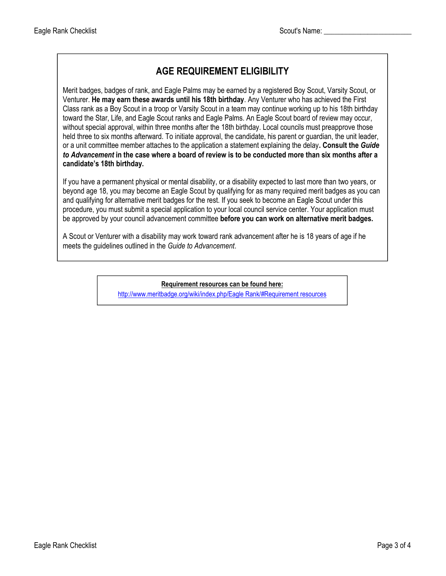## **AGE REQUIREMENT ELIGIBILITY**

Merit badges, badges of rank, and Eagle Palms may be earned by a registered Boy Scout, Varsity Scout, or Venturer. **He may earn these awards until his 18th birthday**. Any Venturer who has achieved the First Class rank as a Boy Scout in a troop or Varsity Scout in a team may continue working up to his 18th birthday toward the Star, Life, and Eagle Scout ranks and Eagle Palms. An Eagle Scout board of review may occur, without special approval, within three months after the 18th birthday. Local councils must preapprove those held three to six months afterward. To initiate approval, the candidate, his parent or guardian, the unit leader, or a unit committee member attaches to the application a statement explaining the delay**. Consult the** *Guide to Advancement* **in the case where a board of review is to be conducted more than six months after a candidate's 18th birthday.**

If you have a permanent physical or mental disability, or a disability expected to last more than two years, or beyond age 18, you may become an Eagle Scout by qualifying for as many required merit badges as you can and qualifying for alternative merit badges for the rest. If you seek to become an Eagle Scout under this procedure, you must submit a special application to your local council service center. Your application must be approved by your council advancement committee **before you can work on alternative merit badges.**

A Scout or Venturer with a disability may work toward rank advancement after he is 18 years of age if he meets the guidelines outlined in the *Guide to Advancement*.

**Requirement resources can be found here:**

[http://www.meritbadge.org/wiki/index.php/Eagle Rank/#Requirement resources](http://www.meritbadge.org/wiki/index.php/Eagle_Rank#Requirement_resources)